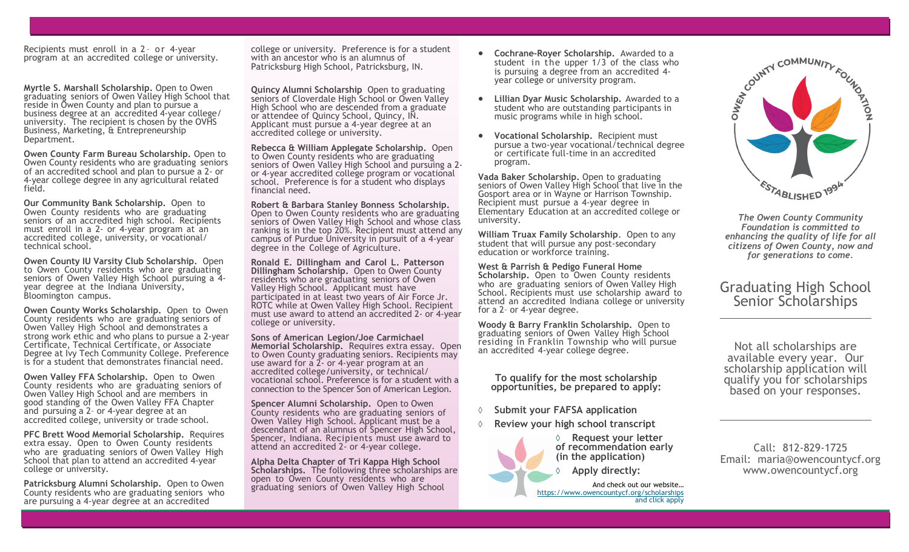Recipients must enroll in a 2- or 4-year program at an accredited college or university.

**Myrtle S. Marshall Scholarship.** Open to Owen graduating seniors of Owen Valley High School that reside in Owen County and plan to pursue a business degree at an accredited 4-year college/ university. The recipient is chosen by the OVHS Business, Marketing, & Entrepreneurship Department.

**Owen County Farm Bureau Scholarship.** Open to Owen County residents who are graduating seniors of an accredited school and plan to pursue a 2- or 4-year college degree in any agricultural related field.

**Our Community Bank Scholarship.** Open to Owen County residents who are graduating seniors of an accredited high school. Recipients must enroll in a 2- or 4-year program at an accredited college, university, or vocational/ technical school.

**Owen County IU Varsity Club Scholarship.** Open to Owen County residents who are graduating seniors of Owen Valley High School pursuing a 4 year degree at the Indiana University, Bloomington campus.

**Owen County Works Scholarship.** Open to Owen County residents who are graduating seniors of Owen Valley High School and demonstrates a strong work ethic and who plans to pursue a 2-year Certificate, Technical Certificate, or Associate Degree at Ivy Tech Community College. Preference is for a student that demonstrates financial need.

**Owen Valley FFA Scholarship.** Open to Owen County residents who are graduating seniors of Owen Valley High School and are members in good standing of the Owen Valley FFA Chapter and pursuing a 2– or 4-year degree at an accredited college, university or trade school.

**PFC Brett Wood Memorial Scholarship.** Requires extra essay. Open to Owen County residents who are graduating seniors of Owen Valley High School that plan to attend an accredited 4-year college or university.

**Patricksburg Alumni Scholarship.** Open to Owen County residents who are graduating seniors who are pursuing a 4-year degree at an accredited

college or university. Preference is for a student with an ancestor who is an alumnus of Patricksburg High School, Patricksburg, IN.

**Quincy Alumni Scholarship** Open to graduating seniors of Cloverdale High School or Owen Valley High School who are descended from a graduate or attendee of Quincy School, Quincy, IN. Applicant must pursue a 4-year degree at an accredited college or university.

**Rebecca & William Applegate Scholarship.** Open to Owen County residents who are graduating seniors of Owen Valley High School and pursuing a 2 or 4-year accredited college program or vocational school. Preference is for a student who displays financial need.

**Robert & Barbara Stanley Bonness Scholarship.** Open to Owen County residents who are graduating seniors of Owen Valley High School and whose class ranking is in the top 20%. Recipient must attend any campus of Purdue University in pursuit of a 4-year degree in the College of Agriculture.

**Ronald E. Dillingham and Carol L. Patterson Dillingham Scholarship.** Open to Owen County residents who are graduating seniors of Owen Valley High School. Applicant must have participated in at least two years of Air Force Jr. ROTC while at Owen Valley High School. Recipient must use award to attend an accredited 2- or 4-year college or university.

**Sons of American Legion/Joe Carmichael Memorial Scholarship.** Requires extra essay. Open to Owen County graduating seniors. Recipients may use award for a 2- or 4-year program at an accredited college/university, or technical/ vocational school. Preference is for a student with a connection to the Spencer Son of American Legion.

**Spencer Alumni Scholarship.** Open to Owen County residents who are graduating seniors of Owen Valley High School. Applicant must be a descendant of an alumnus of Spencer High School, Spencer, Indiana. Recipients must use award to attend an accredited 2- or 4-year college.

**Alpha Delta Chapter of Tri Kappa High School Scholarships.** The following three scholarships are open to Owen County residents who are graduating seniors of Owen Valley High School

- **Cochrane-Royer Scholarship.** Awarded to a student in the upper  $1/3$  of the class who is pursuing a degree from an accredited 4year college or university program.
- **Lillian Dyar Music Scholarship.** Awarded to a student who are outstanding participants in music programs while in high school.
- **Vocational Scholarship.** Recipient must pursue a two-year vocational/technical degree or certificate full-time in an accredited program.

**Vada Baker Scholarship.** Open to graduating seniors of Owen Valley High School that live in the Gosport area or in Wayne or Harrison Township. Recipient must pursue a 4-year degree in Elementary Education at an accredited college or university.

**William Truax Family Scholarship**. Open to any student that will pursue any post-secondary education or workforce training.

**West & Parrish & Pedigo Funeral Home** Scholarship. Open to Owen County residents who are graduating seniors of Owen Valley High School. Recipients must use scholarship award to attend an accredited Indiana college or university for a 2– or 4-year degree.

**Woody & Barry Franklin Scholarship.** Open to graduating seniors of Owen Valley High School residing in Franklin Township who will pursue an accredited 4-year college degree.

**To qualify for the most scholarship opportunities, be prepared to apply:**

- **Submit your FAFSA application**
- **Review your high school transcript**



**of recommendation early (in the application) Apply directly:** 

And check out our website… [https://www.owencountycf.org/scholarships](https://www.owencountycf.org/local-scholarships) and click apply



*The Owen County Community Foundation is committed to enhancing the quality of life for all citizens of Owen County, now and for generations to come.*

## Graduating High School Senior Scholarships

Not all scholarships are available every year. Our scholarship application will qualify you for scholarships based on your responses.

Call: 812-829-1725 Email: maria@owencountycf.org www.owencountycf.org